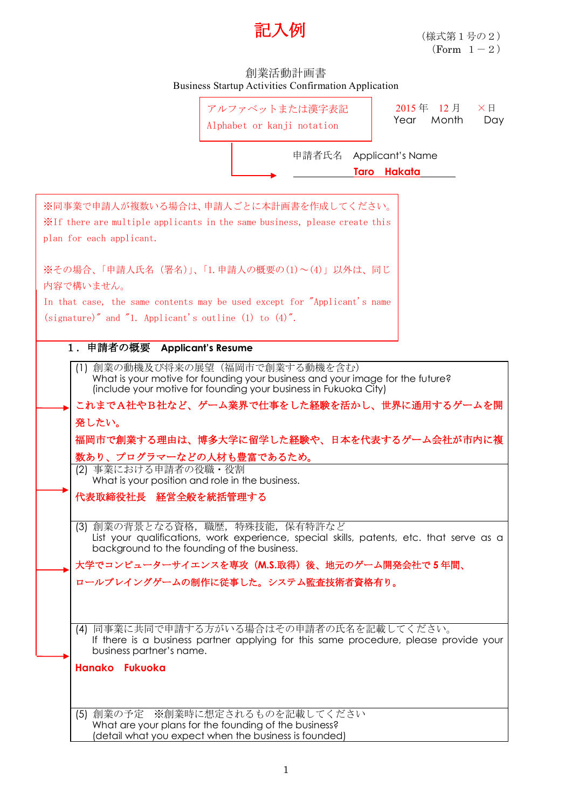

## 創業活動計画書 Business Startup Activities Confirmation Application



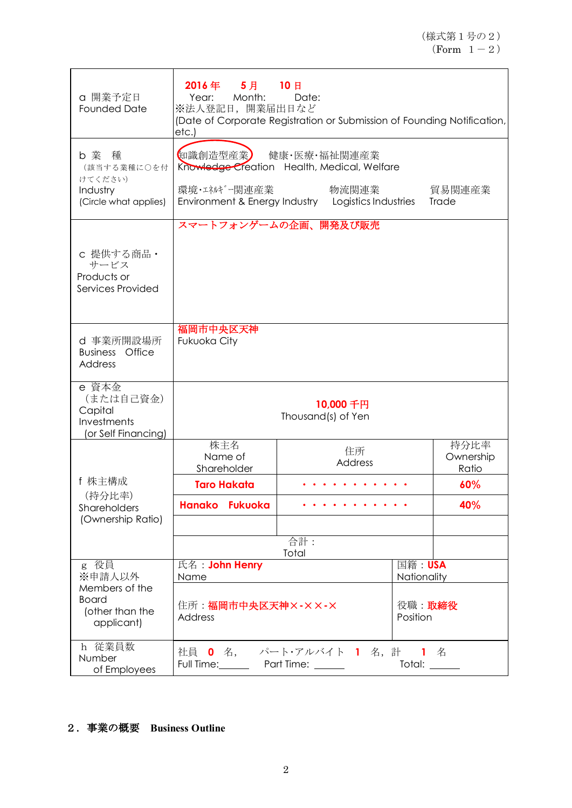| a 開業予定日<br><b>Founded Date</b>                                       | 2016年 5月 10日<br>Year: Month:<br>Date:<br>※法人登記日, 開業届出日など<br>(Date of Corporate Registration or Submission of Founding Notification,<br>etc.) |                                                                                                                            |  |                            |
|----------------------------------------------------------------------|----------------------------------------------------------------------------------------------------------------------------------------------|----------------------------------------------------------------------------------------------------------------------------|--|----------------------------|
| b 業 種<br>(該当する業種に〇を付<br>けてください)<br>Industry<br>(Circle what applies) | 知識創造型産業<br>環境・エネルギー関連産業                                                                                                                      | 健康・医療・福祉関連産業<br>Knowledge Creation Health, Medical, Welfare<br>物流関連業<br>Environment & Energy Industry Logistics Industries |  | 貿易関連産業<br>Trade            |
| c 提供する商品·<br>サービス<br>Products or<br>Services Provided                |                                                                                                                                              | スマートフォンゲームの企画、開発及び販売                                                                                                       |  |                            |
| d 事業所開設場所<br><b>Business</b> Office<br><b>Address</b>                | 福岡市中央区天神<br>Fukuoka City                                                                                                                     |                                                                                                                            |  |                            |
| e 資本金<br>(または自己資金)<br>Capital<br>Investments<br>(or Self Financing)  | 10,000千円<br>Thousand(s) of Yen                                                                                                               |                                                                                                                            |  |                            |
|                                                                      | 株主名<br>Name of<br>Shareholder                                                                                                                | 住所<br>Address                                                                                                              |  | 持分比率<br>Ownership<br>Ratio |
| f 株主構成<br>(持分比率)                                                     | <b>Taro Hakata</b>                                                                                                                           |                                                                                                                            |  | 60%                        |
| Shareholders<br>(Ownership Ratio)                                    | <b>Hanako</b><br><b>Fukuoka</b>                                                                                                              |                                                                                                                            |  | 40%                        |
|                                                                      |                                                                                                                                              | 合計:<br>Total                                                                                                               |  |                            |
| g 役員<br>※申請人以外                                                       | 氏名: John Henry<br>国籍: USA<br>Nationality<br>Name                                                                                             |                                                                                                                            |  |                            |
| Members of the<br><b>Board</b><br>(other than the<br>applicant)      | 役職:取締役<br>住所: <b>福岡市中央区天神×-××-×</b><br>Position<br>Address                                                                                   |                                                                                                                            |  |                            |
| h 従業員数<br>Number<br>of Employees                                     | 社員 0 名, パート・アルバイト 1 名, 計 1 名<br>Full Time: Part Time: 1997<br>Total: ______                                                                  |                                                                                                                            |  |                            |

## 2.事業の概要 **Business Outline**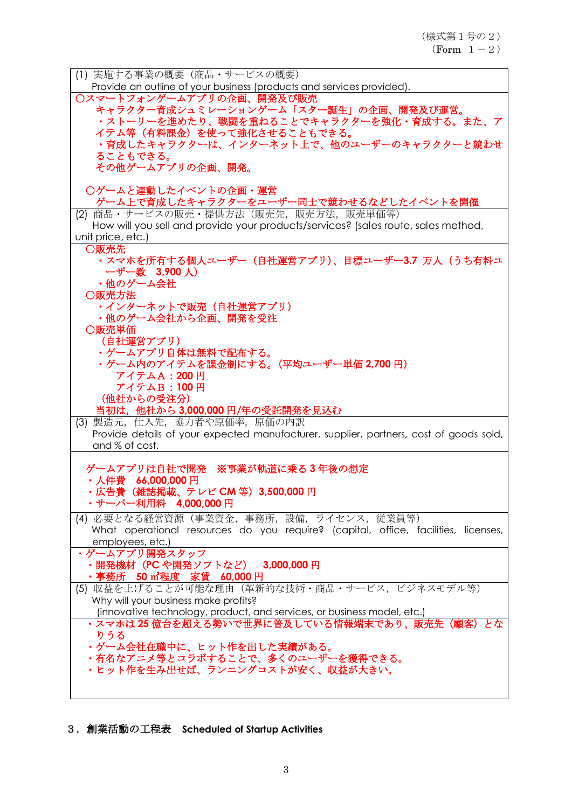| (1) 実施する事業の概要 (商品・サービスの概要)                                                             |
|----------------------------------------------------------------------------------------|
| Provide an outline of your business (products and services provided).                  |
| ○スマートフォンゲームアプリの企画、開発及び販売                                                               |
| キャラクター育成シュミレーションゲーム「スター誕生」の企画、開発及び運営。                                                  |
| ・ストーリーを進めたり、戦闘を重ねることでキャラクターを強化・育成する。また、ア                                               |
| イテム等(有料課金)を使って強化させることもできる。                                                             |
| ・育成したキャラクターは、インターネット上で、他のユーザーのキャラクターと競わせ                                               |
| ることもできる。                                                                               |
| その他ゲームアプリの企画、開発。                                                                       |
|                                                                                        |
| ○ゲームと連動したイベントの企画・運営                                                                    |
| ゲーム上で育成したキャラクターをユーザー同士で競わせるなどしたイベントを開催                                                 |
| (2) 商品・サービスの販売・提供方法 (販売先, 販売方法, 販売単価等)                                                 |
| How will you sell and provide your products/services? (sales route, sales method,      |
| unit price, etc.)                                                                      |
| ○販売先                                                                                   |
| ・スマホを所有する個人ユーザー(自社運営アプリ)、目標ユーザー3.7 万人(うち有料ユ                                            |
| ーザー数 3,900人)                                                                           |
| ・他のゲーム会社                                                                               |
| ○販売方法                                                                                  |
| ・インターネットで販売(自社運営アプリ)                                                                   |
| ・他のゲーム会社から企画、開発を受注                                                                     |
| ○販売単価                                                                                  |
| (自社運営アプリ)                                                                              |
| ・ゲームアプリ自体は無料で配布する。                                                                     |
| ・ゲーム内のアイテムを課金制にする。(平均ユーザー単価 2,700 円)                                                   |
| アイテムA: 200円                                                                            |
| アイテムB:100円                                                                             |
| (他社からの受注分)                                                                             |
| 当初は,他社から <b>3,000,000</b> 円/年の受託開発を見込む                                                 |
| (3) 製造元, 仕入先, 協力者や原価率, 原価の内訳                                                           |
| Provide details of your expected manufacturer, supplier, partners, cost of goods sold, |
| and % of cost.                                                                         |
|                                                                                        |
| ゲームアプリは自社で開発 ※事業が軌道に乗る3年後の想定                                                           |
| ・人件費 66,000,000 円                                                                      |
| ・広告費(雑誌掲載、テレビ CM 等)3,500,000 円                                                         |
| ・サーバー利用料 4,000,000円                                                                    |
| (4) 必要となる経営資源(事業資金,事務所,設備,ライセンス,従業員等)                                                  |
| What operational resources do you require? (capital, office, facilities, licenses,     |
| employees, etc.)                                                                       |
| ・ゲームアプリ開発スタッフ                                                                          |
| ・開発機材(PC や開発ソフトなど) <b>3,000,000</b> 円                                                  |
| ・事務所 <b>50 ㎡程度 家賃 60,000</b> 円                                                         |
| (5) 収益を上げることが可能な理由(革新的な技術・商品・サービス, ビジネスモデル等)                                           |
| Why will your business make profits?                                                   |
| (innovative technology, product, and services, or business model, etc.)                |
| ・スマホは25億台を超える勢いで世界に普及している情報端末であり、販売先(顧客)とな                                             |
| りうる                                                                                    |
| ・ゲーム会社在職中に、ヒット作を出した実績がある。                                                              |
| ・有名なアニメ等とコラボすることで、多くのユーザーを獲得できる。                                                       |
| ・ヒット作を生み出せば、ランニングコストが安く、収益が大きい。                                                        |
|                                                                                        |
|                                                                                        |

3.創業活動の工程表 **Scheduled of Startup Activities**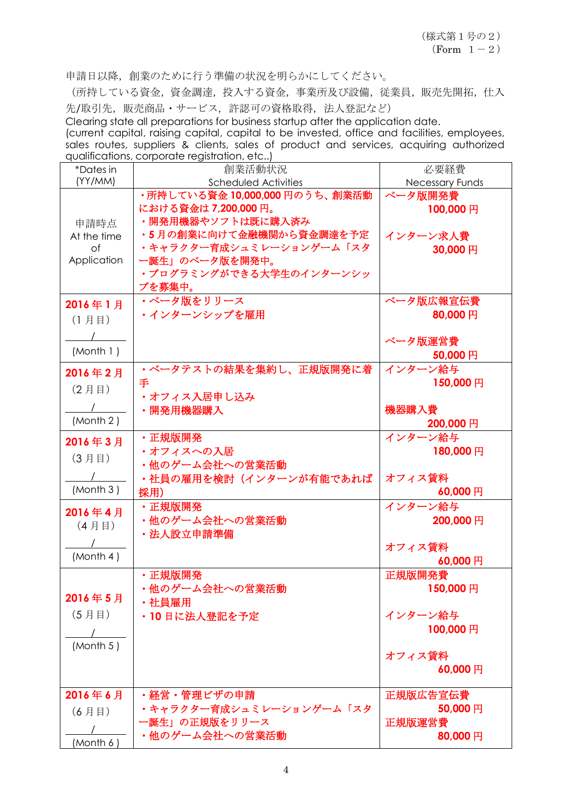$(Form 1-2)$ 

申請日以降,創業のために行う準備の状況を明らかにしてください。

(所持している資金,資金調達,投入する資金,事業所及び設備,従業員,販売先開拓,仕入 先/取引先,販売商品·サービス,許認可の資格取得,法人登記など)

Clearing state all preparations for business startup after the application date.

(current capital, raising capital, capital to be invested, office and facilities, employees, sales routes, suppliers & clients, sales of product and services, acquiring authorized qualifications, corporate registration, etc..)

| *Dates in   | 創業活動状況                                    | 必要経費              |
|-------------|-------------------------------------------|-------------------|
| (YY/MM)     | Scheduled Activities                      | Necessary Funds   |
|             | ·所持している資金 10,000,000 円のうち、創業活動            | ベータ版開発費           |
|             | における資金は7,200,000円。                        | 100,000円          |
| 申請時点        | ・開発用機器やソフトは既に購入済み                         |                   |
| At the time | •5月の創業に向けて金融機関から資金調達を予定                   | インターン求人費          |
| $\circ$ f   | ・キャラクター育成シュミレーションゲーム「スタ                   | 30,000円           |
| Application | 一誕生」のベータ版を開発中。<br>・プログラミングができる大学生のインターンシッ |                   |
|             |                                           |                   |
|             | プを募集中。<br>・ベータ版をリリース                      | ベータ版広報宣伝費         |
| 2016年1月     | ・インターンシップを雇用                              | 80,000円           |
| (1月目)       |                                           |                   |
|             |                                           | ベータ版運営費           |
| (Month 1)   |                                           | 50,000円           |
|             | •ベータテストの結果を集約し、正規版開発に着                    | インターン給与           |
| 2016年2月     | 手                                         | 150,000円          |
| (2月目)       | ・オフィス入居申し込み                               |                   |
|             | ・開発用機器購入                                  | 機器購入費             |
| (Month 2)   |                                           | 200,000円          |
| 2016年3月     | ・正規版開発                                    | インターン給与           |
|             | ・オフィスへの入居                                 | 180,000円          |
| (3月目)       | ・他のゲーム会社への営業活動                            |                   |
|             | ・社員の雇用を検討(インターンが有能であれば                    | オフィス賃料            |
| (Month 3)   | 採用)                                       | 60,000円           |
| 2016年4月     | ・正規版開発                                    | インターン給与           |
| (4月目)       | ・他のゲーム会社への営業活動                            | 200,000円          |
|             | ・法人設立申請準備                                 |                   |
| (Month 4)   |                                           | オフィス賃料            |
|             |                                           | 60,000円           |
|             | ・正規版開発                                    | 正規版開発費            |
| 2016年5月     | ・他のゲーム会社への営業活動                            | 150,000円          |
|             | ・社員雇用                                     |                   |
| (5月目)       | ・10日に法人登記を予定                              | インターン給与           |
|             |                                           | 100,000円          |
| (Month 5)   |                                           |                   |
|             |                                           | オフィス賃料<br>60,000円 |
|             |                                           |                   |
| 2016年6月     | · 経営·管理ビザの申請                              | 正規版広告宣伝費          |
| (6月目)       | ・キャラクター育成シュミレーションゲーム「スタ                   | 50,000円           |
|             |                                           |                   |
|             | 一誕生」の正規版をリリース                             | 正規版運営費            |
| (Month 6    | ・他のゲーム会社への営業活動                            | 80,000円           |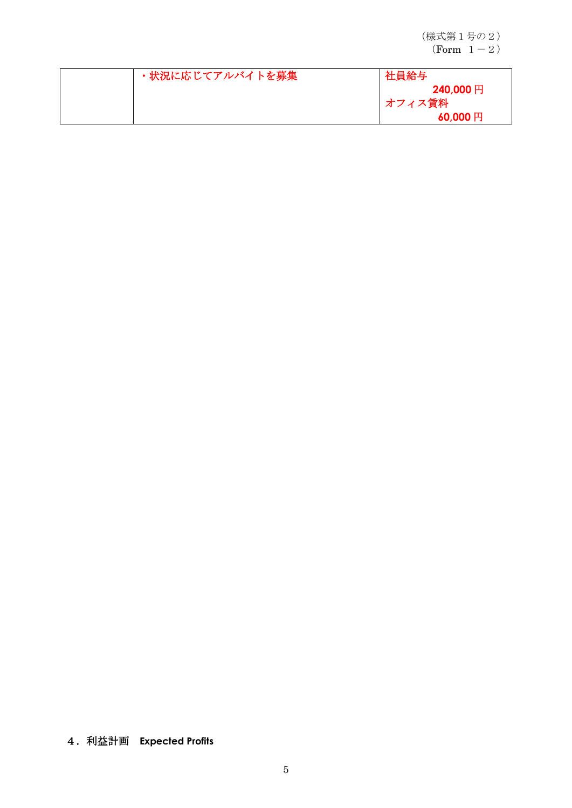(様式第1号の2)  $(Form 1-2)$ 

| ・状況に応じてアルバイトを募集 | 社員給与            |
|-----------------|-----------------|
|                 | 240,000円        |
|                 | オフィス賃料          |
|                 | $60,000$ $\Box$ |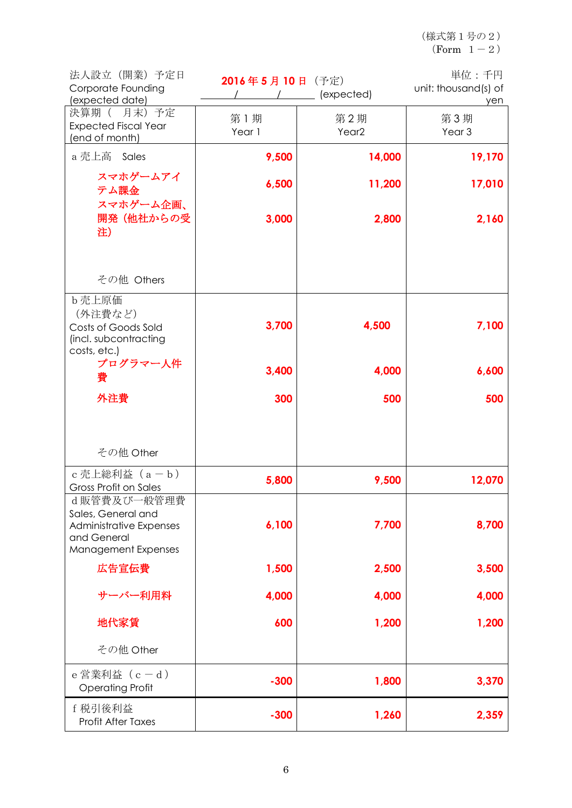(様式第1号の2)  $(Form 1-2)$ 

| 法人設立 (開業) 予定日<br>Corporate Founding<br>(expected date)                                             | 2016年5月10日 (予定) | $\sqrt{2}$ (expected)    | 単位:千円<br>unit: thousand(s) of<br>yen |
|----------------------------------------------------------------------------------------------------|-----------------|--------------------------|--------------------------------------|
| 決算期 ( 月末) 予定<br><b>Expected Fiscal Year</b><br>(end of month)                                      | 第1期<br>Year 1   | 第2期<br>Year <sub>2</sub> | 第3期<br>Year <sub>3</sub>             |
| a 売上高 Sales                                                                                        | 9,500           | 14,000                   | 19,170                               |
| スマホゲームアイ<br>テム課金                                                                                   | 6,500           | 11,200                   | 17,010                               |
| スマホゲーム企画、<br>開発(他社からの受<br>注)                                                                       | 3,000           | 2,800                    | 2,160                                |
| その他 Others                                                                                         |                 |                          |                                      |
| b 売上原価<br>(外注費など)<br>Costs of Goods Sold<br>(incl. subcontracting<br>costs, etc.)                  | 3,700           | 4,500                    | 7,100                                |
| プログラマー人件<br>費                                                                                      | 3,400           | 4,000                    | 6,600                                |
| 外注費                                                                                                | 300             | 500                      | 500                                  |
| その他 Other                                                                                          |                 |                          |                                      |
| c 売上総利益 (a-b)<br>Gross Profit on Sales                                                             | 5,800           | 9,500                    | 12,070                               |
| d販管費及び一般管理費<br>Sales, General and<br>Administrative Expenses<br>and General<br>Management Expenses | 6,100           | 7,700                    | 8,700                                |
| 広告宣伝費                                                                                              | 1,500           | 2,500                    | 3,500                                |
| サーバー利用料                                                                                            | 4,000           | 4,000                    | 4,000                                |
| 地代家賃                                                                                               | 600             | 1,200                    | 1,200                                |
| その他 Other                                                                                          |                 |                          |                                      |
| e営業利益 (c-d)<br><b>Operating Profit</b>                                                             | $-300$          | 1,800                    | 3,370                                |
| f 税引後利益<br>Profit After Taxes                                                                      | $-300$          | 1,260                    | 2,359                                |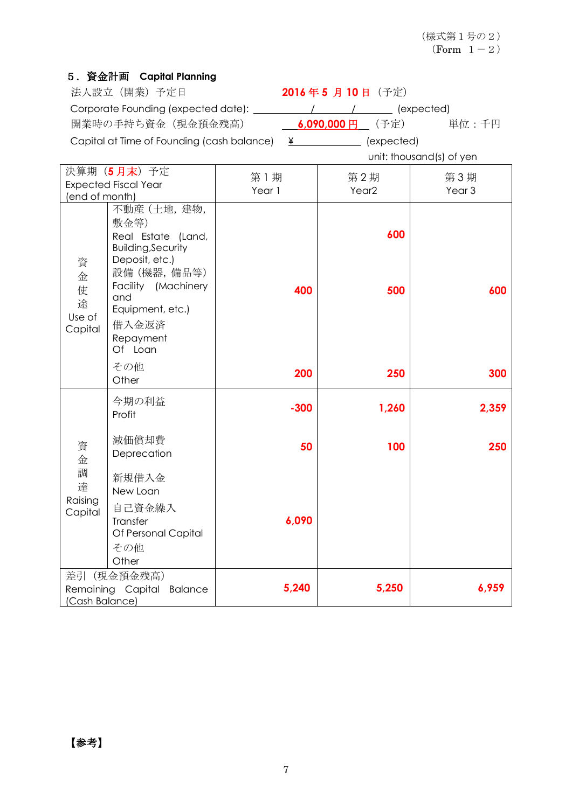## 5.資金計画 **Capital Planning**

| 法人設立 (開業) 予定日                              | 2016年5月10日 (予定)            |                          |
|--------------------------------------------|----------------------------|--------------------------|
| Corporate Founding (expected date):        |                            | (expected)               |
| 開業時の手持ち資金(現金預金残高)                          | <b>6,090,000 円</b> (予定)    | 単位:千円                    |
| Capital at Time of Founding (cash balance) | $\angle$ $\angle$ $\angle$ | (expected)               |
|                                            |                            | unit: thousand(s) of yen |

| 決算期 (5月末) 予定                           |                                                                                           | 第1期    | 第2期               | 第3期               |
|----------------------------------------|-------------------------------------------------------------------------------------------|--------|-------------------|-------------------|
| <b>Expected Fiscal Year</b>            |                                                                                           | Year 1 | Year <sub>2</sub> | Year <sub>3</sub> |
| (end of month)                         |                                                                                           |        |                   |                   |
| 資<br>金<br>使<br>途<br>Use of<br>Capital  | 不動産 (土地, 建物,<br>敷金等)<br>Real Estate (Land,<br><b>Building, Security</b><br>Deposit, etc.) |        | 600               |                   |
|                                        | 設備 (機器,備品等)<br>Facility (Machinery<br>and<br>Equipment, etc.)                             | 400    | 500               | 600               |
|                                        | 借入金返済<br>Repayment<br>Of Loan                                                             |        |                   |                   |
|                                        | その他<br>Other                                                                              | 200    | 250               | 300               |
| 資<br>金<br>調<br>達<br>Raising<br>Capital | 今期の利益<br>Profit                                                                           | $-300$ | 1,260             | 2,359             |
|                                        | 減価償却費<br>Deprecation                                                                      | 50     | 100               | 250               |
|                                        | 新規借入金<br>New Loan                                                                         |        |                   |                   |
|                                        | 自己資金繰入<br>Transfer<br>Of Personal Capital                                                 | 6,090  |                   |                   |
|                                        | その他<br>Other                                                                              |        |                   |                   |
| 差引<br>(Cash Balance)                   | (現金預金残高)<br>Remaining Capital<br><b>Balance</b>                                           | 5,240  | 5,250             | 6,959             |